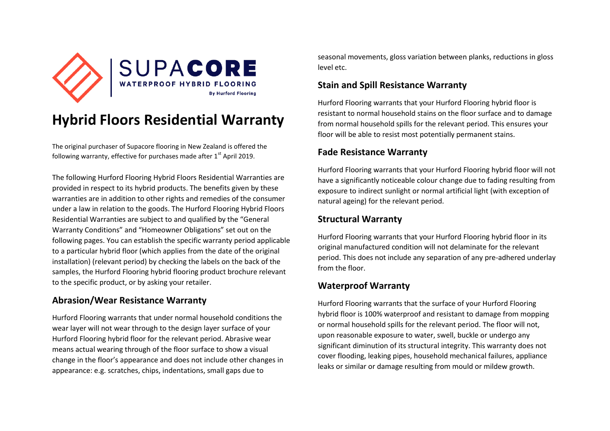

# **Hybrid Floors Residential Warranty**

The original purchaser of Supacore flooring in New Zealand is offered the following warranty, effective for purchases made after  $1<sup>st</sup>$  April 2019.

The following Hurford Flooring Hybrid Floors Residential Warranties are provided in respect to its hybrid products. The benefits given by these warranties are in addition to other rights and remedies of the consumer under a law in relation to the goods. The Hurford Flooring Hybrid Floors Residential Warranties are subject to and qualified by the "General Warranty Conditions" and "Homeowner Obligations" set out on the following pages. You can establish the specific warranty period applicable to a particular hybrid floor (which applies from the date of the original installation) (relevant period) by checking the labels on the back of the samples, the Hurford Flooring hybrid flooring product brochure relevant to the specific product, or by asking your retailer.

### **Abrasion/Wear Resistance Warranty**

Hurford Flooring warrants that under normal household conditions the wear layer will not wear through to the design layer surface of your Hurford Flooring hybrid floor for the relevant period. Abrasive wear means actual wearing through of the floor surface to show a visual change in the floor's appearance and does not include other changes in appearance: e.g. scratches, chips, indentations, small gaps due to

seasonal movements, gloss variation between planks, reductions in gloss level etc.

#### **Stain and Spill Resistance Warranty**

Hurford Flooring warrants that your Hurford Flooring hybrid floor is resistant to normal household stains on the floor surface and to damage from normal household spills for the relevant period. This ensures your floor will be able to resist most potentially permanent stains.

#### **Fade Resistance Warranty**

Hurford Flooring warrants that your Hurford Flooring hybrid floor will not have a significantly noticeable colour change due to fading resulting from exposure to indirect sunlight or normal artificial light (with exception of natural ageing) for the relevant period.

## **Structural Warranty**

Hurford Flooring warrants that your Hurford Flooring hybrid floor in its original manufactured condition will not delaminate for the relevant period. This does not include any separation of any pre-adhered underlay from the floor.

## **Waterproof Warranty**

Hurford Flooring warrants that the surface of your Hurford Flooring hybrid floor is 100% waterproof and resistant to damage from mopping or normal household spills for the relevant period. The floor will not, upon reasonable exposure to water, swell, buckle or undergo any significant diminution of its structural integrity. This warranty does not cover flooding, leaking pipes, household mechanical failures, appliance leaks or similar or damage resulting from mould or mildew growth.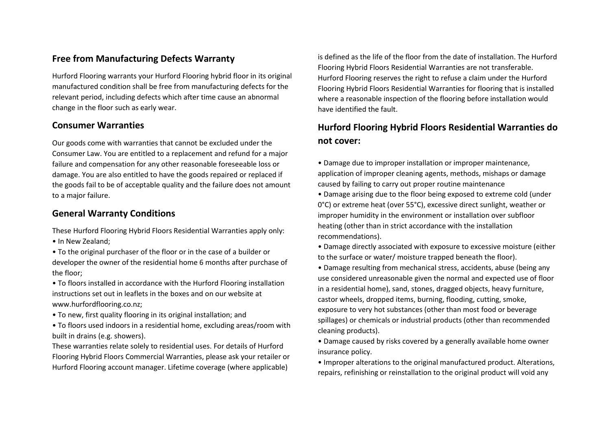#### **Free from Manufacturing Defects Warranty**

Hurford Flooring warrants your Hurford Flooring hybrid floor in its original manufactured condition shall be free from manufacturing defects for the relevant period, including defects which after time cause an abnormal change in the floor such as early wear.

#### **Consumer Warranties**

Our goods come with warranties that cannot be excluded under the Consumer Law. You are entitled to a replacement and refund for a major failure and compensation for any other reasonable foreseeable loss or damage. You are also entitled to have the goods repaired or replaced if the goods fail to be of acceptable quality and the failure does not amount to a major failure.

#### **General Warranty Conditions**

These Hurford Flooring Hybrid Floors Residential Warranties apply only:

• In New Zealand;

• To the original purchaser of the floor or in the case of a builder or developer the owner of the residential home 6 months after purchase of the floor;

• To floors installed in accordance with the Hurford Flooring installation instructions set out in leaflets in the boxes and on our website at www.hurfordflooring.co.nz;

- To new, first quality flooring in its original installation; and
- To floors used indoors in a residential home, excluding areas/room with built in drains (e.g. showers).

These warranties relate solely to residential uses. For details of Hurford Flooring Hybrid Floors Commercial Warranties, please ask your retailer or Hurford Flooring account manager. Lifetime coverage (where applicable)

is defined as the life of the floor from the date of installation. The Hurford Flooring Hybrid Floors Residential Warranties are not transferable. Hurford Flooring reserves the right to refuse a claim under the Hurford Flooring Hybrid Floors Residential Warranties for flooring that is installed where a reasonable inspection of the flooring before installation would have identified the fault.

## **Hurford Flooring Hybrid Floors Residential Warranties do not cover:**

- Damage due to improper installation or improper maintenance, application of improper cleaning agents, methods, mishaps or damage caused by failing to carry out proper routine maintenance
- Damage arising due to the floor being exposed to extreme cold (under 0°C) or extreme heat (over 55°C), excessive direct sunlight, weather or improper humidity in the environment or installation over subfloor heating (other than in strict accordance with the installation recommendations).
- Damage directly associated with exposure to excessive moisture (either to the surface or water/ moisture trapped beneath the floor).
- Damage resulting from mechanical stress, accidents, abuse (being any use considered unreasonable given the normal and expected use of floor in a residential home), sand, stones, dragged objects, heavy furniture, castor wheels, dropped items, burning, flooding, cutting, smoke, exposure to very hot substances (other than most food or beverage spillages) or chemicals or industrial products (other than recommended cleaning products).
- Damage caused by risks covered by a generally available home owner insurance policy.
- Improper alterations to the original manufactured product. Alterations, repairs, refinishing or reinstallation to the original product will void any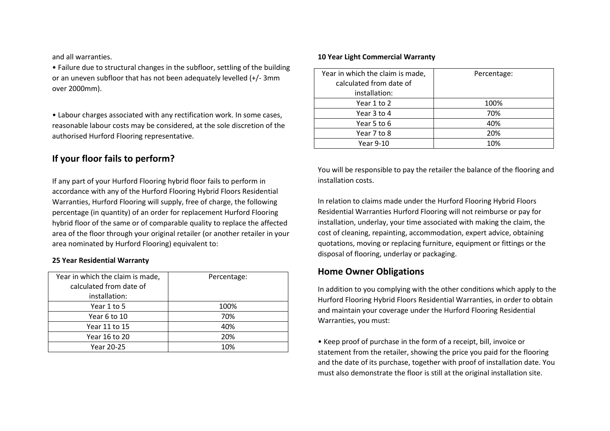and all warranties.

• Failure due to structural changes in the subfloor, settling of the building or an uneven subfloor that has not been adequately levelled (+/- 3mm over 2000mm).

• Labour charges associated with any rectification work. In some cases, reasonable labour costs may be considered, at the sole discretion of the authorised Hurford Flooring representative.

#### **If your floor fails to perform?**

If any part of your Hurford Flooring hybrid floor fails to perform in accordance with any of the Hurford Flooring Hybrid Floors Residential Warranties, Hurford Flooring will supply, free of charge, the following percentage (in quantity) of an order for replacement Hurford Flooring hybrid floor of the same or of comparable quality to replace the affected area of the floor through your original retailer (or another retailer in your area nominated by Hurford Flooring) equivalent to:

#### **25 Year Residential Warranty**

| Year in which the claim is made, | Percentage: |
|----------------------------------|-------------|
| calculated from date of          |             |
| installation:                    |             |
| Year 1 to 5                      | 100%        |
| Year 6 to 10                     | 70%         |
| Year 11 to 15                    | 40%         |
| Year 16 to 20                    | 20%         |
| Year 20-25                       | 10%         |

#### **10 Year Light Commercial Warranty**

| Year in which the claim is made,<br>calculated from date of<br>installation: | Percentage: |
|------------------------------------------------------------------------------|-------------|
| Year 1 to 2                                                                  | 100%        |
| Year 3 to 4                                                                  | 70%         |
| Year 5 to 6                                                                  | 40%         |
| Year 7 to 8                                                                  | 20%         |
| Year 9-10                                                                    | 10%         |

You will be responsible to pay the retailer the balance of the flooring and installation costs.

In relation to claims made under the Hurford Flooring Hybrid Floors Residential Warranties Hurford Flooring will not reimburse or pay for installation, underlay, your time associated with making the claim, the cost of cleaning, repainting, accommodation, expert advice, obtaining quotations, moving or replacing furniture, equipment or fittings or the disposal of flooring, underlay or packaging.

#### **Home Owner Obligations**

In addition to you complying with the other conditions which apply to the Hurford Flooring Hybrid Floors Residential Warranties, in order to obtain and maintain your coverage under the Hurford Flooring Residential Warranties, you must:

• Keep proof of purchase in the form of a receipt, bill, invoice or statement from the retailer, showing the price you paid for the flooring and the date of its purchase, together with proof of installation date. You must also demonstrate the floor is still at the original installation site.